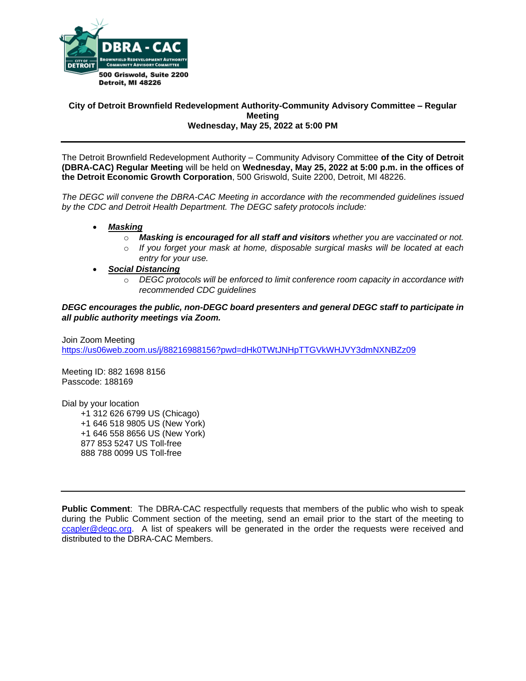

## **City of Detroit Brownfield Redevelopment Authority-Community Advisory Committee – Regular Meeting Wednesday, May 25, 2022 at 5:00 PM**

The Detroit Brownfield Redevelopment Authority – Community Advisory Committee **of the City of Detroit (DBRA-CAC) Regular Meeting** will be held on **Wednesday, May 25, 2022 at 5:00 p.m. in the offices of the Detroit Economic Growth Corporation**, 500 Griswold, Suite 2200, Detroit, MI 48226.

*The DEGC will convene the DBRA-CAC Meeting in accordance with the recommended guidelines issued by the CDC and Detroit Health Department. The DEGC safety protocols include:*

- *Masking*
	- o *Masking is encouraged for all staff and visitors whether you are vaccinated or not.*
	- o *If you forget your mask at home, disposable surgical masks will be located at each entry for your use.*
- *Social Distancing* 
	- o *DEGC protocols will be enforced to limit conference room capacity in accordance with recommended CDC guidelines*

*DEGC encourages the public, non-DEGC board presenters and general DEGC staff to participate in all public authority meetings via Zoom.* 

Join Zoom Meeting <https://us06web.zoom.us/j/88216988156?pwd=dHk0TWtJNHpTTGVkWHJVY3dmNXNBZz09>

Meeting ID: 882 1698 8156 Passcode: 188169

Dial by your location +1 312 626 6799 US (Chicago) +1 646 518 9805 US (New York) +1 646 558 8656 US (New York) 877 853 5247 US Toll-free 888 788 0099 US Toll-free

**Public Comment**: The DBRA-CAC respectfully requests that members of the public who wish to speak during the Public Comment section of the meeting, send an email prior to the start of the meeting to [ccapler@degc.org.](mailto:ccapler@degc.org) A list of speakers will be generated in the order the requests were received and distributed to the DBRA-CAC Members.